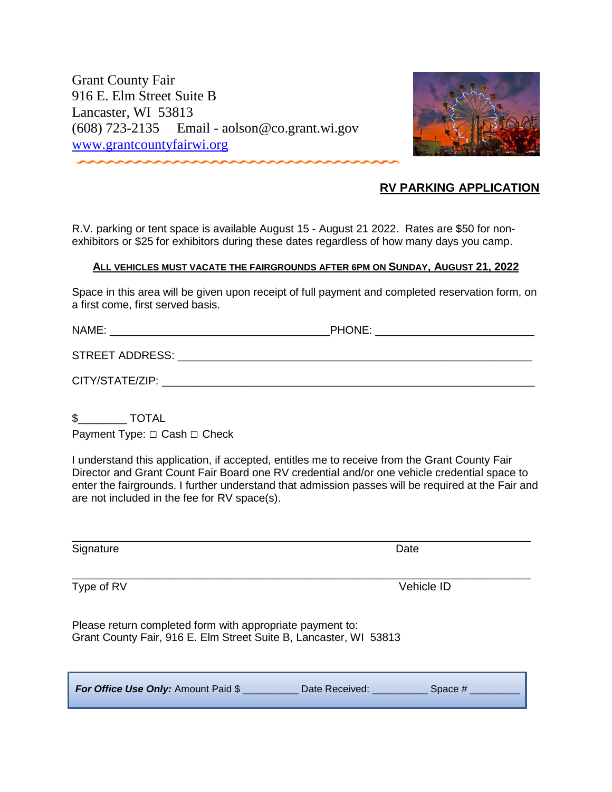Grant County Fair 916 E. Elm Street Suite B Lancaster, WI 53813 (608) 723-2135 Email - aolson@co.grant.wi.gov [www.grantcountyfairwi.org](http://www.grantcountyfairwi.org/)



## **RV PARKING APPLICATION**

R.V. parking or tent space is available August 15 - August 21 2022. Rates are \$50 for nonexhibitors or \$25 for exhibitors during these dates regardless of how many days you camp.

## **ALL VEHICLES MUST VACATE THE FAIRGROUNDS AFTER 6PM ON SUNDAY, AUGUST 21, 2022**

Space in this area will be given upon receipt of full payment and completed reservation form, on a first come, first served basis.

NAME: \_\_\_\_\_\_\_\_\_\_\_\_\_\_\_\_\_\_\_\_\_\_\_\_\_\_\_\_\_\_\_\_\_\_\_\_PHONE: \_\_\_\_\_\_\_\_\_\_\_\_\_\_\_\_\_\_\_\_\_\_\_\_\_\_

STREET ADDRESS: \_\_\_\_\_\_\_\_\_\_\_\_\_\_\_\_\_\_\_\_\_\_\_\_\_\_\_\_\_\_\_\_\_\_\_\_\_\_\_\_\_\_\_\_\_\_\_\_\_\_\_\_\_\_\_\_\_\_

| CITY/STATE/ZIP: |
|-----------------|
|                 |

\$\_\_\_\_\_\_\_\_ TOTAL

Payment Type: □ Cash □ Check

I understand this application, if accepted, entitles me to receive from the Grant County Fair Director and Grant Count Fair Board one RV credential and/or one vehicle credential space to enter the fairgrounds. I further understand that admission passes will be required at the Fair and are not included in the fee for RV space(s).

\_\_\_\_\_\_\_\_\_\_\_\_\_\_\_\_\_\_\_\_\_\_\_\_\_\_\_\_\_\_\_\_\_\_\_\_\_\_\_\_\_\_\_\_\_\_\_\_\_\_\_\_\_\_\_\_\_\_\_\_\_\_\_\_\_\_\_\_\_\_\_\_\_\_\_

\_\_\_\_\_\_\_\_\_\_\_\_\_\_\_\_\_\_\_\_\_\_\_\_\_\_\_\_\_\_\_\_\_\_\_\_\_\_\_\_\_\_\_\_\_\_\_\_\_\_\_\_\_\_\_\_\_\_\_\_\_\_\_\_\_\_\_\_\_\_\_\_\_\_\_

Signature Date

Type of RV Vehicle ID

Please return completed form with appropriate payment to: Grant County Fair, 916 E. Elm Street Suite B, Lancaster, WI 53813

|  | For Office Use Only: Amount Paid \$ | Date Received: | Space # |
|--|-------------------------------------|----------------|---------|
|--|-------------------------------------|----------------|---------|